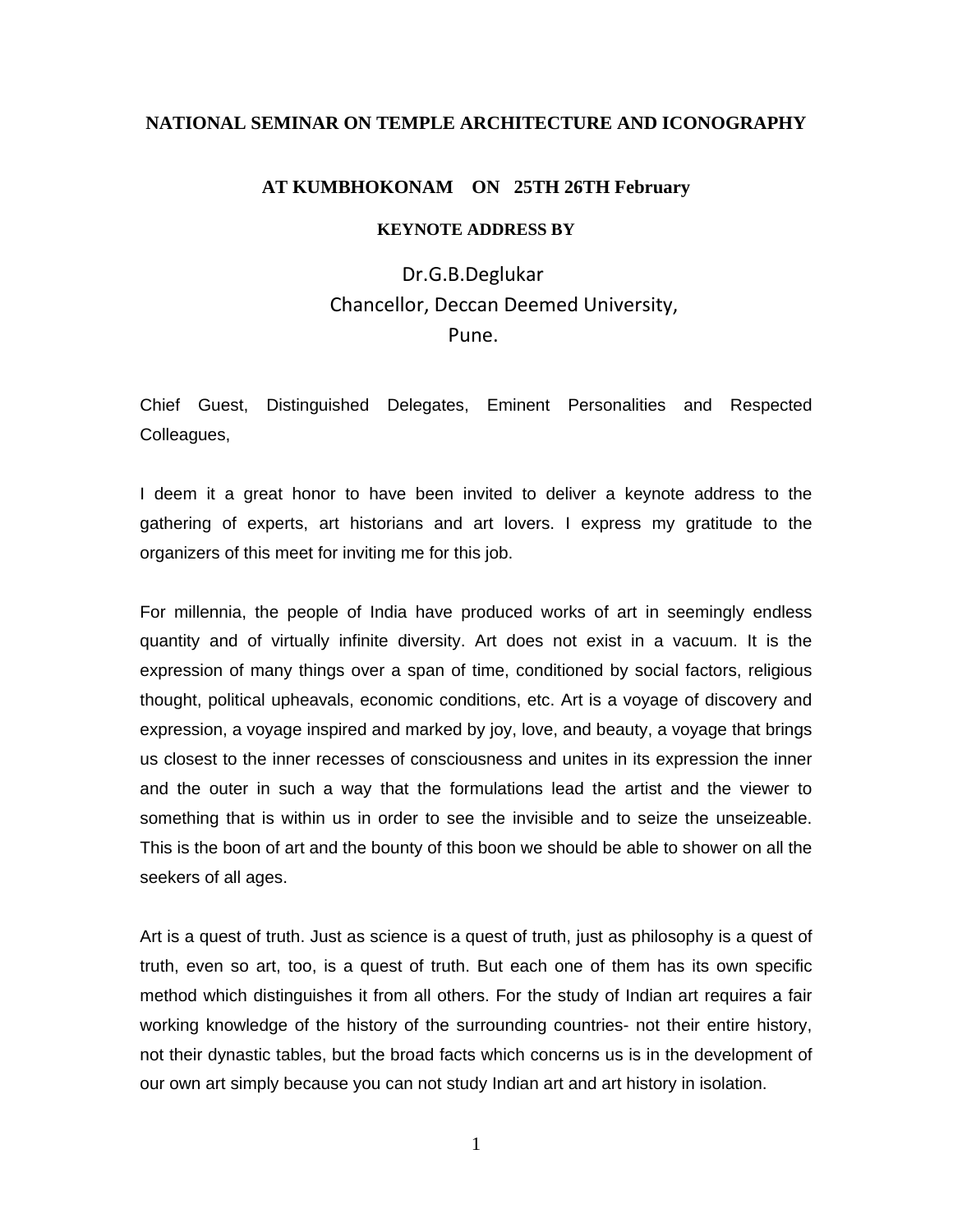# **NATIONAL SEMINAR ON TEMPLE ARCHITECTURE AND ICONOGRAPHY**

## **AT KUMBHOKONAM ON 25TH 26TH February**

## **KEYNOTE ADDRESS BY**

 Dr.G.B.Deglukar Chancellor, Deccan Deemed University, Pune.

Chief Guest, Distinguished Delegates, Eminent Personalities and Respected Colleagues,

I deem it a great honor to have been invited to deliver a keynote address to the gathering of experts, art historians and art lovers. I express my gratitude to the organizers of this meet for inviting me for this job.

For millennia, the people of India have produced works of art in seemingly endless quantity and of virtually infinite diversity. Art does not exist in a vacuum. It is the expression of many things over a span of time, conditioned by social factors, religious thought, political upheavals, economic conditions, etc. Art is a voyage of discovery and expression, a voyage inspired and marked by joy, love, and beauty, a voyage that brings us closest to the inner recesses of consciousness and unites in its expression the inner and the outer in such a way that the formulations lead the artist and the viewer to something that is within us in order to see the invisible and to seize the unseizeable. This is the boon of art and the bounty of this boon we should be able to shower on all the seekers of all ages.

Art is a quest of truth. Just as science is a quest of truth, just as philosophy is a quest of truth, even so art, too, is a quest of truth. But each one of them has its own specific method which distinguishes it from all others. For the study of Indian art requires a fair working knowledge of the history of the surrounding countries- not their entire history, not their dynastic tables, but the broad facts which concerns us is in the development of our own art simply because you can not study Indian art and art history in isolation.

1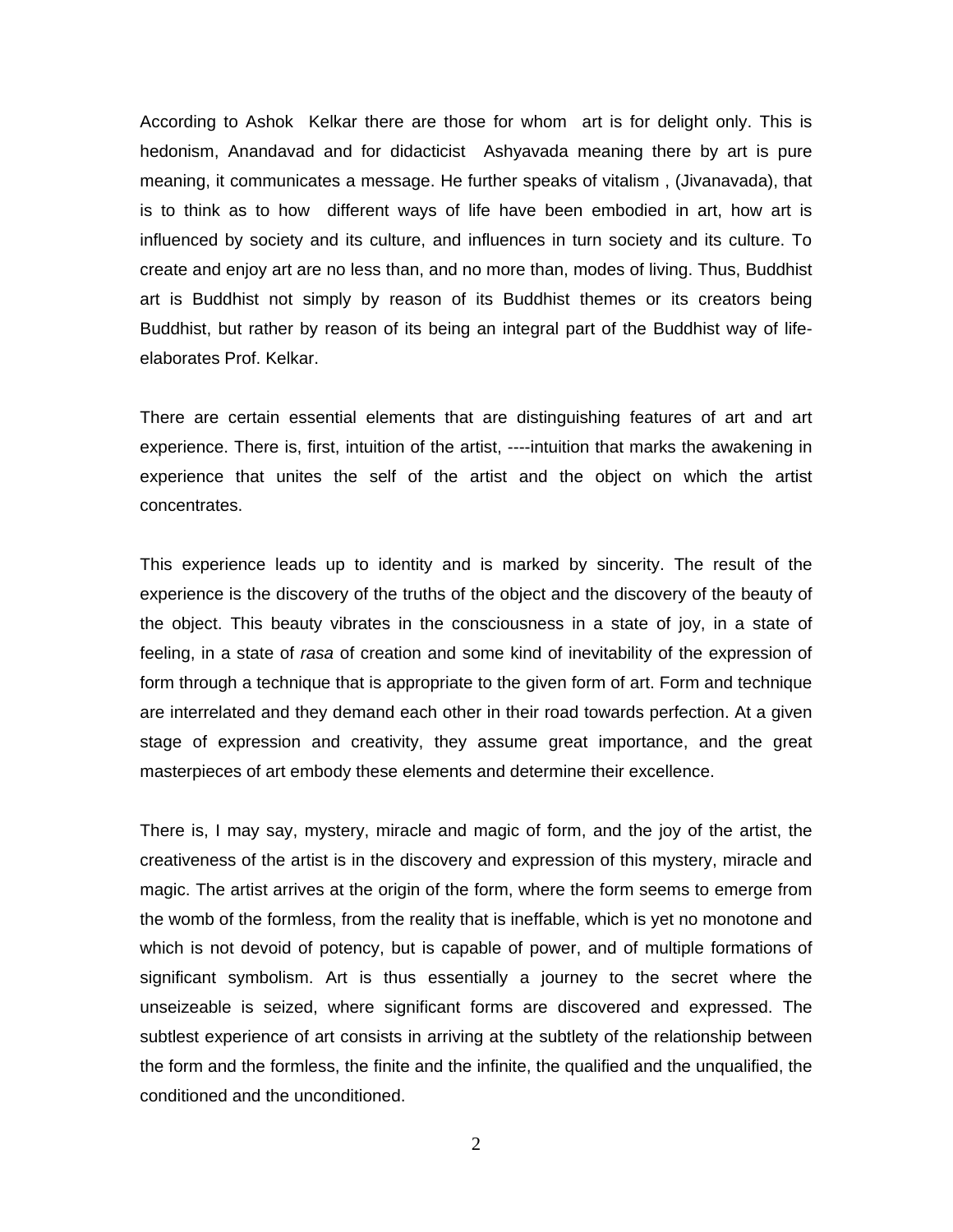According to Ashok Kelkar there are those for whom art is for delight only. This is hedonism, Anandavad and for didacticist Ashyavada meaning there by art is pure meaning, it communicates a message. He further speaks of vitalism , (Jivanavada), that is to think as to how different ways of life have been embodied in art, how art is influenced by society and its culture, and influences in turn society and its culture. To create and enjoy art are no less than, and no more than, modes of living. Thus, Buddhist art is Buddhist not simply by reason of its Buddhist themes or its creators being Buddhist, but rather by reason of its being an integral part of the Buddhist way of lifeelaborates Prof. Kelkar.

There are certain essential elements that are distinguishing features of art and art experience. There is, first, intuition of the artist, ----intuition that marks the awakening in experience that unites the self of the artist and the object on which the artist concentrates.

This experience leads up to identity and is marked by sincerity. The result of the experience is the discovery of the truths of the object and the discovery of the beauty of the object. This beauty vibrates in the consciousness in a state of joy, in a state of feeling, in a state of *rasa* of creation and some kind of inevitability of the expression of form through a technique that is appropriate to the given form of art. Form and technique are interrelated and they demand each other in their road towards perfection. At a given stage of expression and creativity, they assume great importance, and the great masterpieces of art embody these elements and determine their excellence.

There is, I may say, mystery, miracle and magic of form, and the joy of the artist, the creativeness of the artist is in the discovery and expression of this mystery, miracle and magic. The artist arrives at the origin of the form, where the form seems to emerge from the womb of the formless, from the reality that is ineffable, which is yet no monotone and which is not devoid of potency, but is capable of power, and of multiple formations of significant symbolism. Art is thus essentially a journey to the secret where the unseizeable is seized, where significant forms are discovered and expressed. The subtlest experience of art consists in arriving at the subtlety of the relationship between the form and the formless, the finite and the infinite, the qualified and the unqualified, the conditioned and the unconditioned.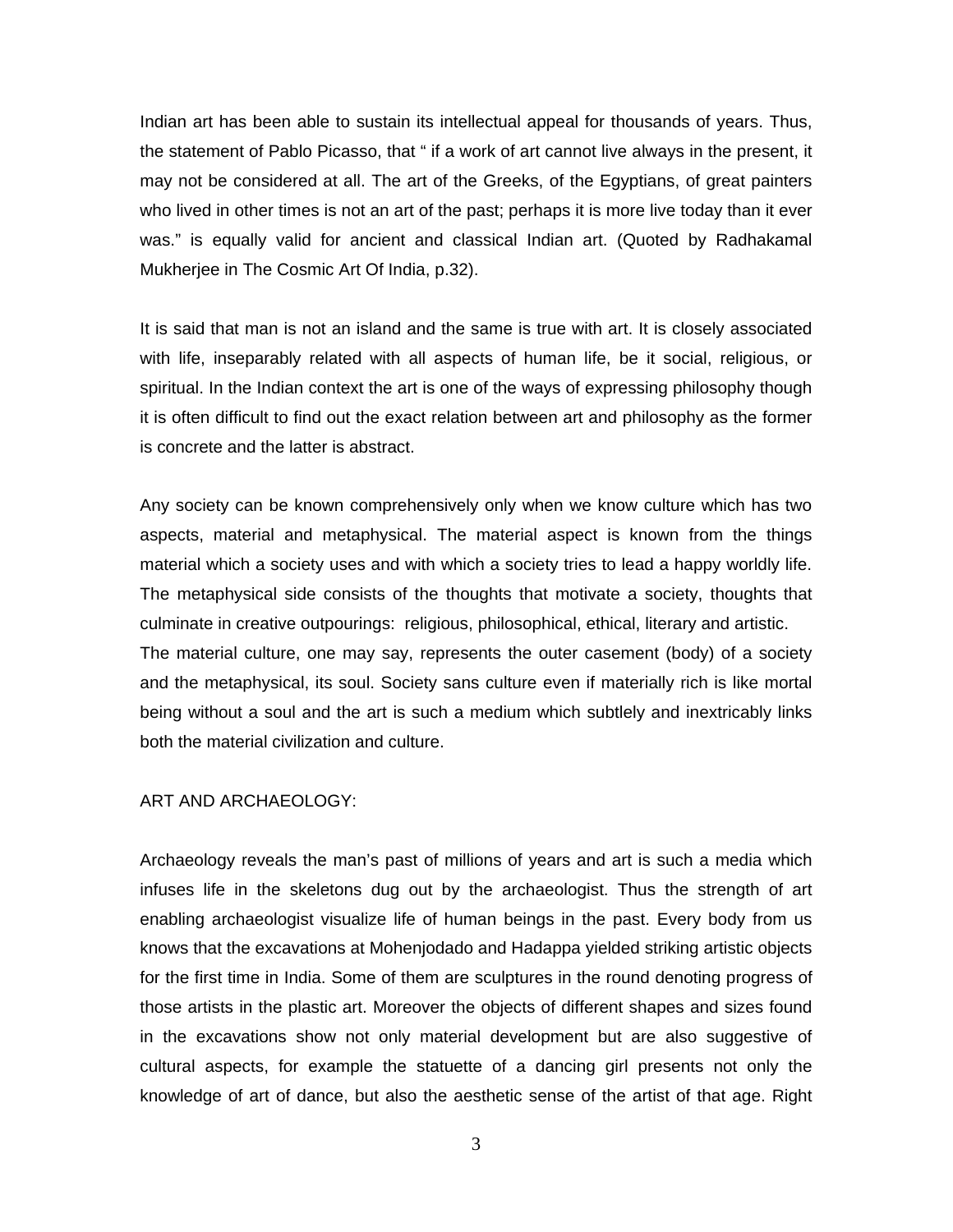Indian art has been able to sustain its intellectual appeal for thousands of years. Thus, the statement of Pablo Picasso, that " if a work of art cannot live always in the present, it may not be considered at all. The art of the Greeks, of the Egyptians, of great painters who lived in other times is not an art of the past; perhaps it is more live today than it ever was." is equally valid for ancient and classical Indian art. (Quoted by Radhakamal Mukherjee in The Cosmic Art Of India, p.32).

It is said that man is not an island and the same is true with art. It is closely associated with life, inseparably related with all aspects of human life, be it social, religious, or spiritual. In the Indian context the art is one of the ways of expressing philosophy though it is often difficult to find out the exact relation between art and philosophy as the former is concrete and the latter is abstract.

Any society can be known comprehensively only when we know culture which has two aspects, material and metaphysical. The material aspect is known from the things material which a society uses and with which a society tries to lead a happy worldly life. The metaphysical side consists of the thoughts that motivate a society, thoughts that culminate in creative outpourings: religious, philosophical, ethical, literary and artistic. The material culture, one may say, represents the outer casement (body) of a society and the metaphysical, its soul. Society sans culture even if materially rich is like mortal being without a soul and the art is such a medium which subtlely and inextricably links both the material civilization and culture.

#### ART AND ARCHAEOLOGY:

Archaeology reveals the man's past of millions of years and art is such a media which infuses life in the skeletons dug out by the archaeologist. Thus the strength of art enabling archaeologist visualize life of human beings in the past. Every body from us knows that the excavations at Mohenjodado and Hadappa yielded striking artistic objects for the first time in India. Some of them are sculptures in the round denoting progress of those artists in the plastic art. Moreover the objects of different shapes and sizes found in the excavations show not only material development but are also suggestive of cultural aspects, for example the statuette of a dancing girl presents not only the knowledge of art of dance, but also the aesthetic sense of the artist of that age. Right

3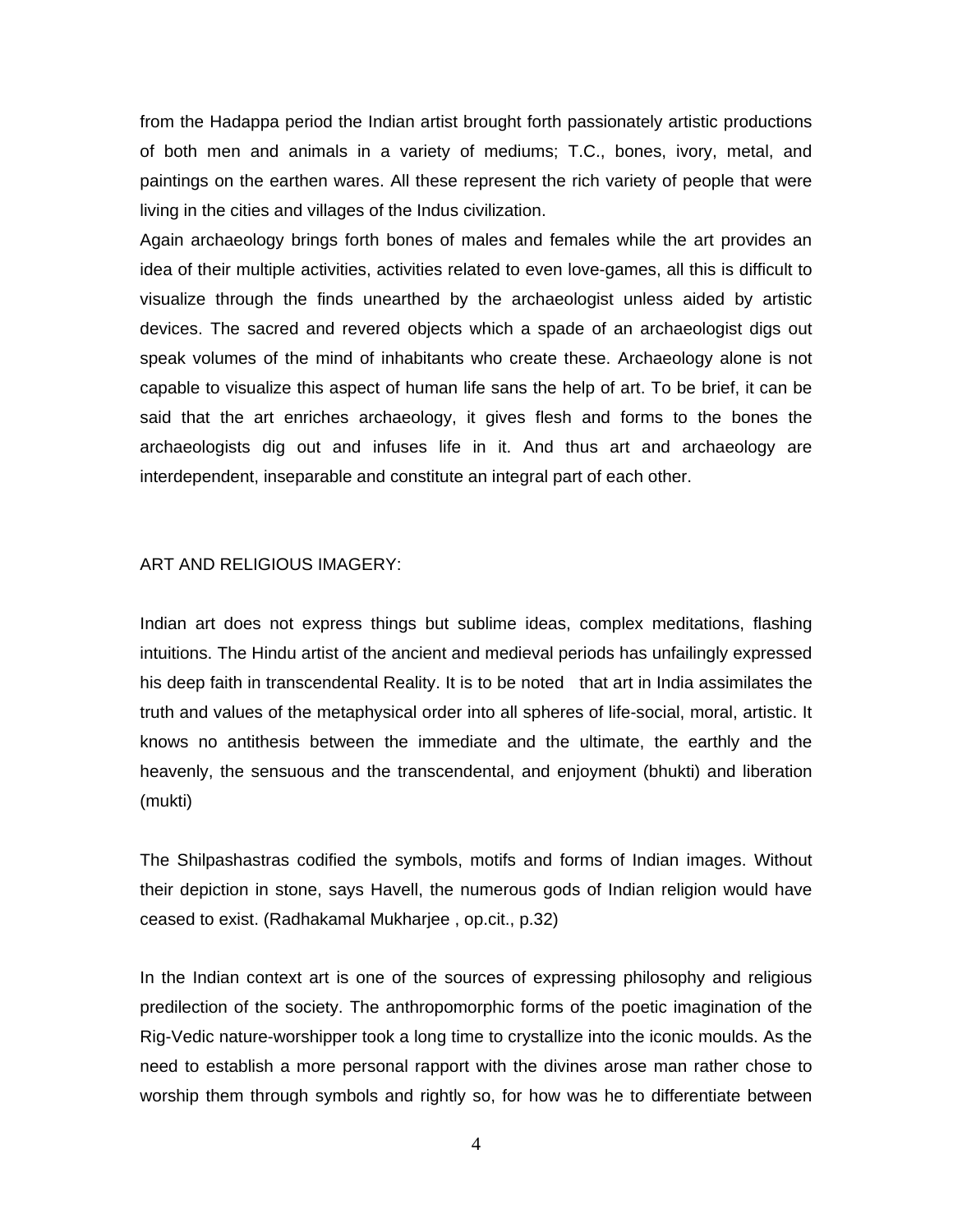from the Hadappa period the Indian artist brought forth passionately artistic productions of both men and animals in a variety of mediums; T.C., bones, ivory, metal, and paintings on the earthen wares. All these represent the rich variety of people that were living in the cities and villages of the Indus civilization.

Again archaeology brings forth bones of males and females while the art provides an idea of their multiple activities, activities related to even love-games, all this is difficult to visualize through the finds unearthed by the archaeologist unless aided by artistic devices. The sacred and revered objects which a spade of an archaeologist digs out speak volumes of the mind of inhabitants who create these. Archaeology alone is not capable to visualize this aspect of human life sans the help of art. To be brief, it can be said that the art enriches archaeology, it gives flesh and forms to the bones the archaeologists dig out and infuses life in it. And thus art and archaeology are interdependent, inseparable and constitute an integral part of each other.

## ART AND RELIGIOUS IMAGERY:

Indian art does not express things but sublime ideas, complex meditations, flashing intuitions. The Hindu artist of the ancient and medieval periods has unfailingly expressed his deep faith in transcendental Reality. It is to be noted that art in India assimilates the truth and values of the metaphysical order into all spheres of life-social, moral, artistic. It knows no antithesis between the immediate and the ultimate, the earthly and the heavenly, the sensuous and the transcendental, and enjoyment (bhukti) and liberation (mukti)

The Shilpashastras codified the symbols, motifs and forms of Indian images. Without their depiction in stone, says Havell, the numerous gods of Indian religion would have ceased to exist. (Radhakamal Mukharjee , op.cit., p.32)

In the Indian context art is one of the sources of expressing philosophy and religious predilection of the society. The anthropomorphic forms of the poetic imagination of the Rig-Vedic nature-worshipper took a long time to crystallize into the iconic moulds. As the need to establish a more personal rapport with the divines arose man rather chose to worship them through symbols and rightly so, for how was he to differentiate between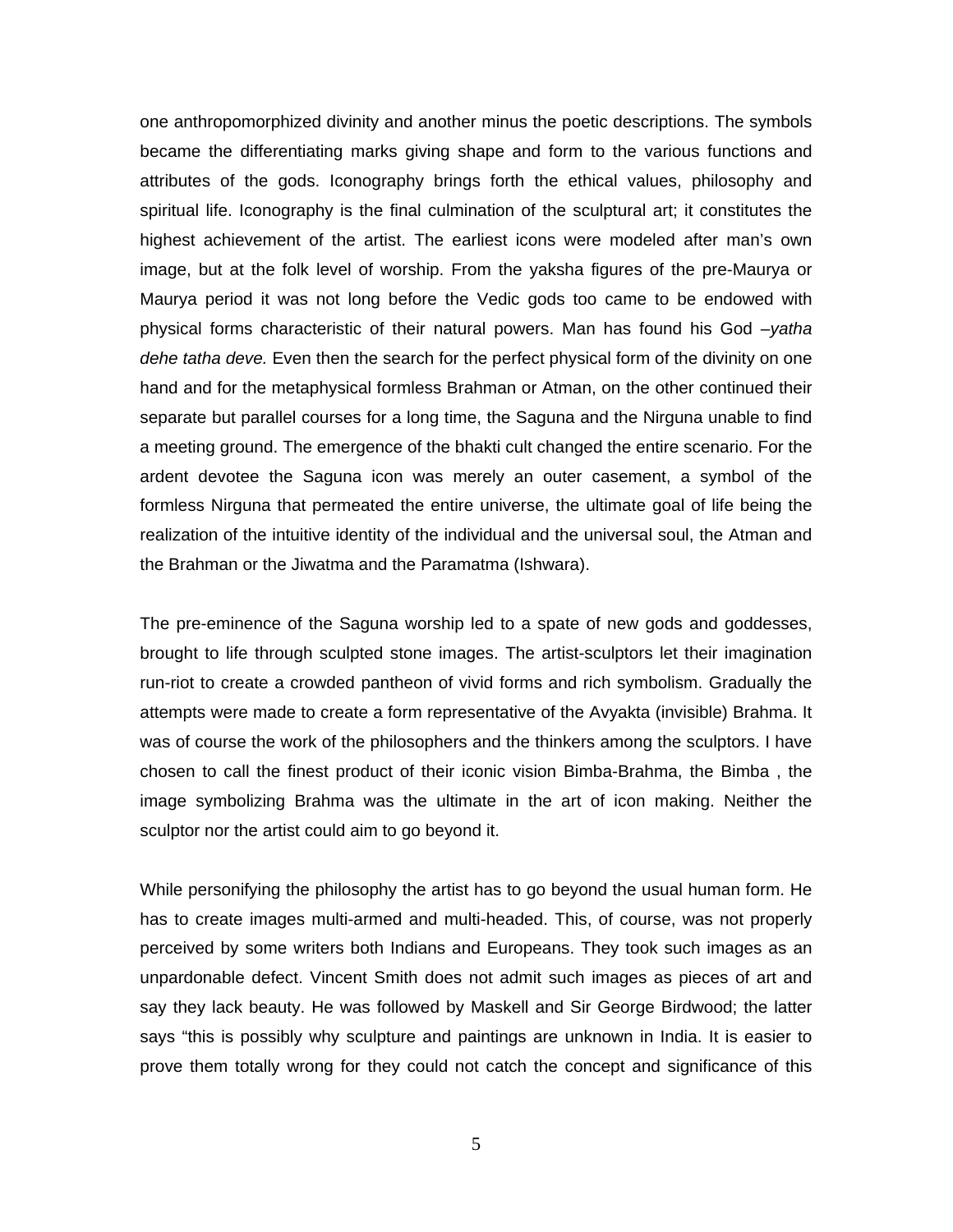one anthropomorphized divinity and another minus the poetic descriptions. The symbols became the differentiating marks giving shape and form to the various functions and attributes of the gods. Iconography brings forth the ethical values, philosophy and spiritual life. Iconography is the final culmination of the sculptural art; it constitutes the highest achievement of the artist. The earliest icons were modeled after man's own image, but at the folk level of worship. From the yaksha figures of the pre-Maurya or Maurya period it was not long before the Vedic gods too came to be endowed with physical forms characteristic of their natural powers. Man has found his God –*yatha dehe tatha deve.* Even then the search for the perfect physical form of the divinity on one hand and for the metaphysical formless Brahman or Atman, on the other continued their separate but parallel courses for a long time, the Saguna and the Nirguna unable to find a meeting ground. The emergence of the bhakti cult changed the entire scenario. For the ardent devotee the Saguna icon was merely an outer casement, a symbol of the formless Nirguna that permeated the entire universe, the ultimate goal of life being the realization of the intuitive identity of the individual and the universal soul, the Atman and the Brahman or the Jiwatma and the Paramatma (Ishwara).

The pre-eminence of the Saguna worship led to a spate of new gods and goddesses, brought to life through sculpted stone images. The artist-sculptors let their imagination run-riot to create a crowded pantheon of vivid forms and rich symbolism. Gradually the attempts were made to create a form representative of the Avyakta (invisible) Brahma. It was of course the work of the philosophers and the thinkers among the sculptors. I have chosen to call the finest product of their iconic vision Bimba-Brahma, the Bimba , the image symbolizing Brahma was the ultimate in the art of icon making. Neither the sculptor nor the artist could aim to go beyond it.

While personifying the philosophy the artist has to go beyond the usual human form. He has to create images multi-armed and multi-headed. This, of course, was not properly perceived by some writers both Indians and Europeans. They took such images as an unpardonable defect. Vincent Smith does not admit such images as pieces of art and say they lack beauty. He was followed by Maskell and Sir George Birdwood; the latter says "this is possibly why sculpture and paintings are unknown in India. It is easier to prove them totally wrong for they could not catch the concept and significance of this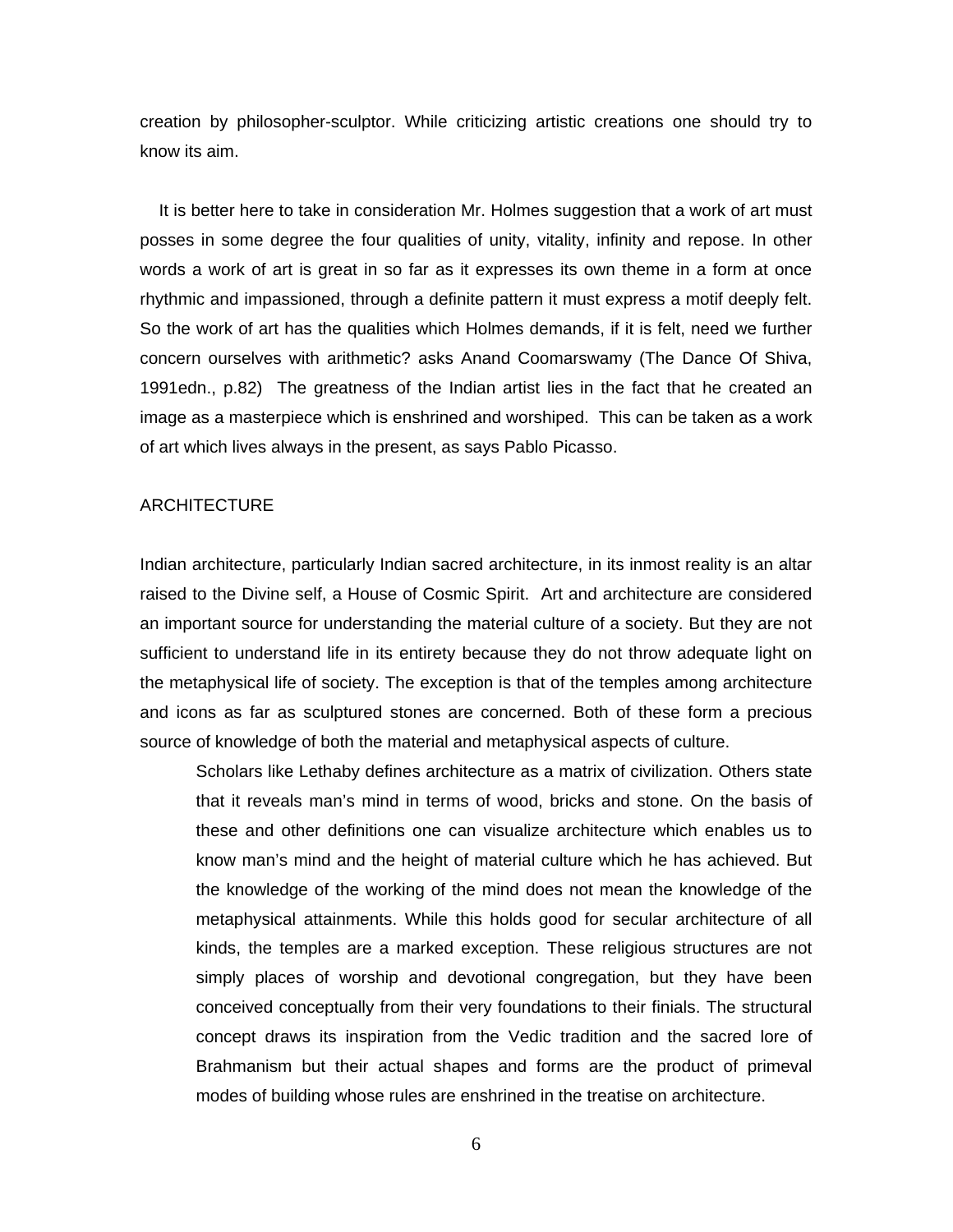creation by philosopher-sculptor. While criticizing artistic creations one should try to know its aim.

 It is better here to take in consideration Mr. Holmes suggestion that a work of art must posses in some degree the four qualities of unity, vitality, infinity and repose. In other words a work of art is great in so far as it expresses its own theme in a form at once rhythmic and impassioned, through a definite pattern it must express a motif deeply felt. So the work of art has the qualities which Holmes demands, if it is felt, need we further concern ourselves with arithmetic? asks Anand Coomarswamy (The Dance Of Shiva, 1991edn., p.82) The greatness of the Indian artist lies in the fact that he created an image as a masterpiece which is enshrined and worshiped. This can be taken as a work of art which lives always in the present, as says Pablo Picasso.

### ARCHITECTURE

Indian architecture, particularly Indian sacred architecture, in its inmost reality is an altar raised to the Divine self, a House of Cosmic Spirit. Art and architecture are considered an important source for understanding the material culture of a society. But they are not sufficient to understand life in its entirety because they do not throw adequate light on the metaphysical life of society. The exception is that of the temples among architecture and icons as far as sculptured stones are concerned. Both of these form a precious source of knowledge of both the material and metaphysical aspects of culture.

Scholars like Lethaby defines architecture as a matrix of civilization. Others state that it reveals man's mind in terms of wood, bricks and stone. On the basis of these and other definitions one can visualize architecture which enables us to know man's mind and the height of material culture which he has achieved. But the knowledge of the working of the mind does not mean the knowledge of the metaphysical attainments. While this holds good for secular architecture of all kinds, the temples are a marked exception. These religious structures are not simply places of worship and devotional congregation, but they have been conceived conceptually from their very foundations to their finials. The structural concept draws its inspiration from the Vedic tradition and the sacred lore of Brahmanism but their actual shapes and forms are the product of primeval modes of building whose rules are enshrined in the treatise on architecture.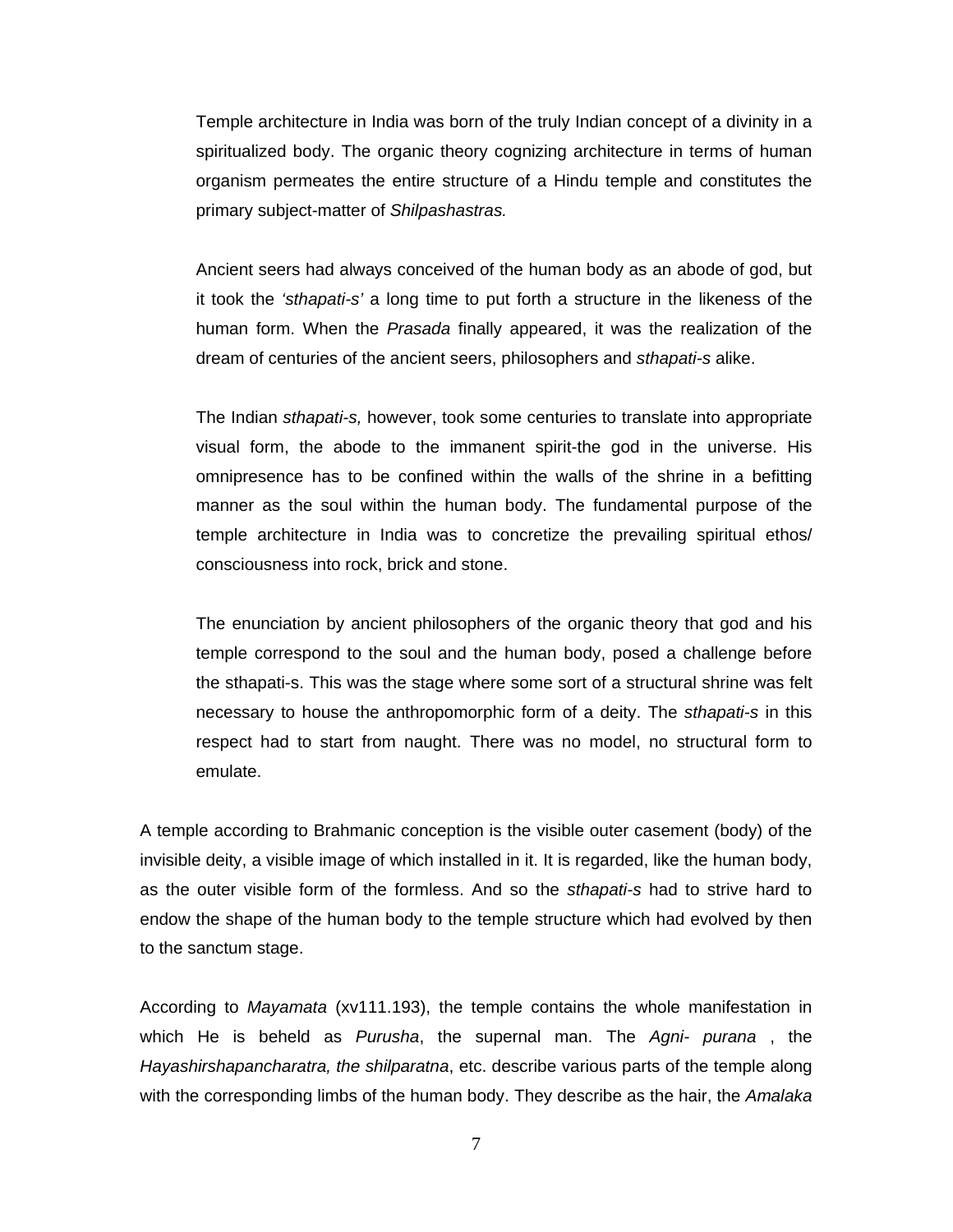Temple architecture in India was born of the truly Indian concept of a divinity in a spiritualized body. The organic theory cognizing architecture in terms of human organism permeates the entire structure of a Hindu temple and constitutes the primary subject-matter of *Shilpashastras.*

Ancient seers had always conceived of the human body as an abode of god, but it took the *'sthapati-s'* a long time to put forth a structure in the likeness of the human form. When the *Prasada* finally appeared, it was the realization of the dream of centuries of the ancient seers, philosophers and *sthapati-s* alike.

The Indian *sthapati-s,* however, took some centuries to translate into appropriate visual form, the abode to the immanent spirit-the god in the universe. His omnipresence has to be confined within the walls of the shrine in a befitting manner as the soul within the human body. The fundamental purpose of the temple architecture in India was to concretize the prevailing spiritual ethos/ consciousness into rock, brick and stone.

The enunciation by ancient philosophers of the organic theory that god and his temple correspond to the soul and the human body, posed a challenge before the sthapati-s. This was the stage where some sort of a structural shrine was felt necessary to house the anthropomorphic form of a deity. The *sthapati-s* in this respect had to start from naught. There was no model, no structural form to emulate.

A temple according to Brahmanic conception is the visible outer casement (body) of the invisible deity, a visible image of which installed in it. It is regarded, like the human body, as the outer visible form of the formless. And so the *sthapati-s* had to strive hard to endow the shape of the human body to the temple structure which had evolved by then to the sanctum stage.

According to *Mayamata* (xv111.193), the temple contains the whole manifestation in which He is beheld as *Purusha*, the supernal man. The *Agni- purana* , the *Hayashirshapancharatra, the shilparatna*, etc. describe various parts of the temple along with the corresponding limbs of the human body. They describe as the hair, the *Amalaka*